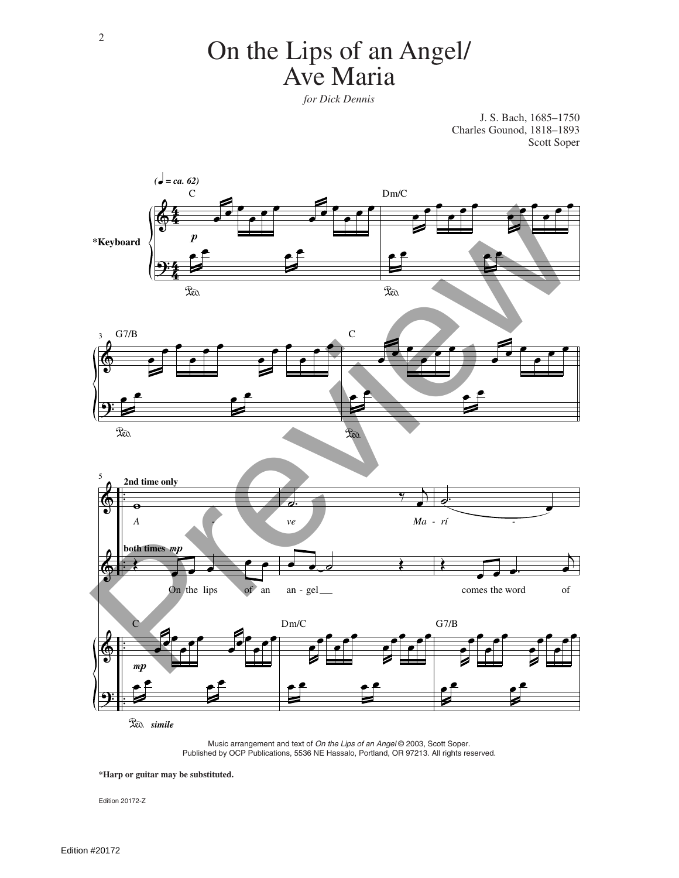*for Dick Dennis*

J. S. Bach, 1685–1750 Charles Gounod, 1818–1893 Scott Soper



Music arrangement and text of On the Lips of an Angel © 2003, Scott Soper. Published by OCP Publications, 5536 NE Hassalo, Portland, OR 97213. All rights reserved.

**\*Harp or guitar may be substituted.**

Edition 20172-Z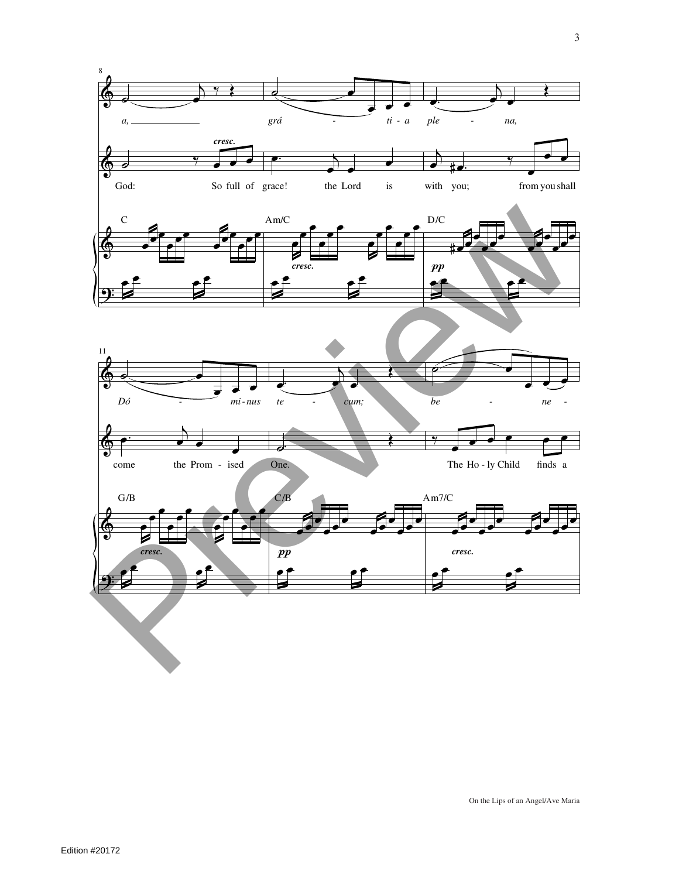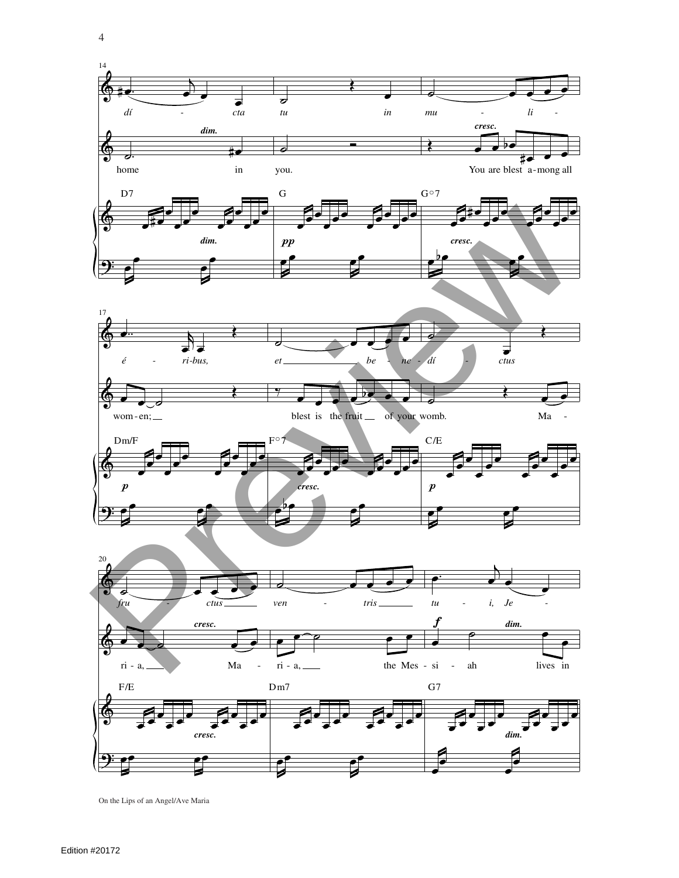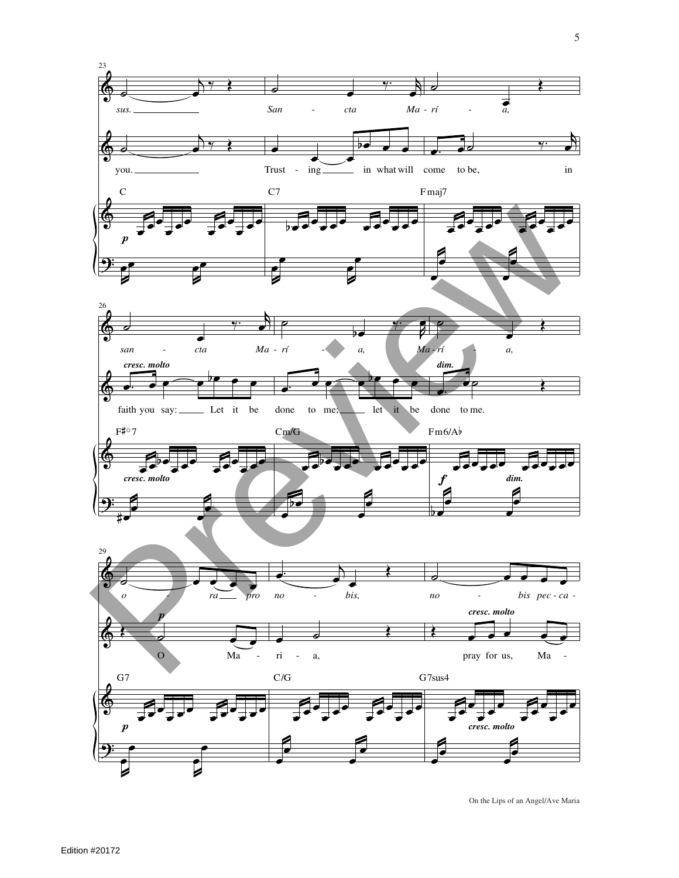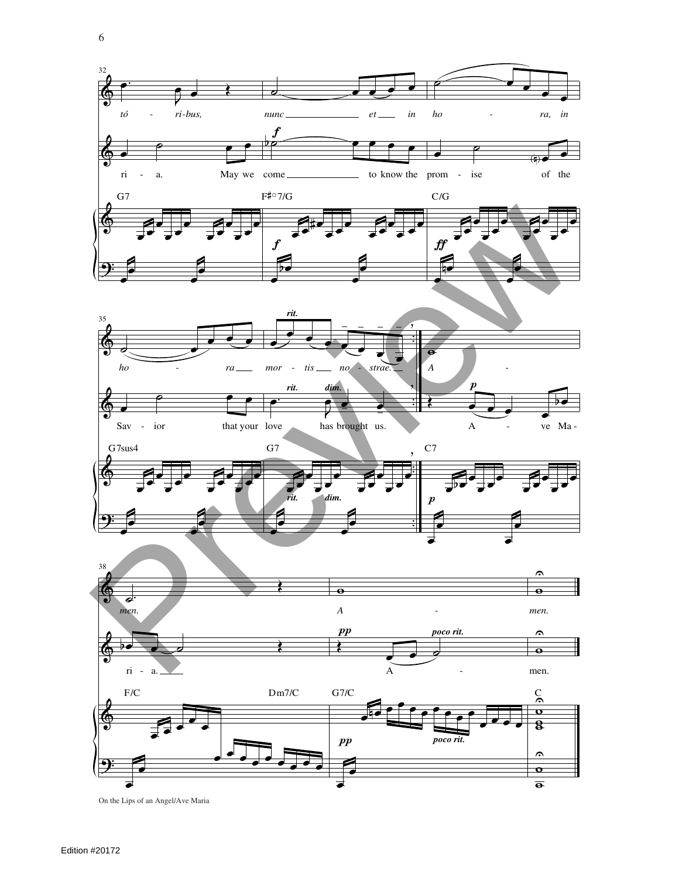

 $6\,$